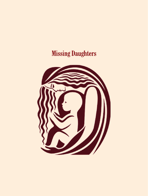# **Missing Daughters**

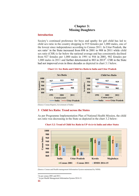## **Chapter 3: Missing Daughters**

## **Introduction**

Society"s continued preference for boys and apathy for girl child has led to child sex ratio in the country dropping to 919 females per 1,000 males, one of the lowest since independence according to Census 2011. In Uttar Pradesh, the sex ratio<sup>1</sup> in the State increased from 898 in 2001 to 908 in 2011 while child sex ratio (CSR) is far below the national average and has consistently declined from 927 females per 1,000 males in 1991 to 916 in 2001, 902 females per 1,000 males in 2011 and further deteriorated to 883 in  $2015^2$ . CSR in the State had not improved even in three decades as depicted in chart 3.1 below.





(Source: Census Reports, Government of India)

#### **3 Child Sex Ratio: Trend across the States**

As per Programme Implementation Plan of National Health Mission, the child sex ratio was decreasing in the State as depicted in the chart 3.2 below:





(Source: Census and Health management Information System maintained by NHM)

<sup>&</sup>lt;sup>1</sup>As per census 2001 and 2011.

<sup>&</sup>lt;sup>2</sup> As per Health Management Information System 2014-15.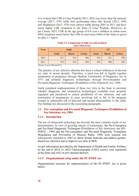It is evident that CSR in Uttar Pradesh (2011: 902) was lower than the national average (2011: 919) while best performing states like Kerala (2011: 959) and Meghalaya (2011: 970) were almost stable during 2001 to 2011 and have much higher CSR compared to the State of Uttar Pradesh. Moreover, as per Census 2011, CSR in the age group of 0-6 year"s children in urban areas (885) remained much below the CSR in rural areas (906) of the State as given in table 3.1 below.

| anu vi <i>v</i> an artas |              |              |              |              |              |              |
|--------------------------|--------------|--------------|--------------|--------------|--------------|--------------|
| Year                     | <b>India</b> |              |              | UP           |              |              |
|                          | <b>Total</b> | <b>Rural</b> | <b>Urban</b> | <b>Total</b> | <b>Rural</b> | <b>Urban</b> |
| 2001                     | 927          | 934          | 906          | 916          | 921          | 890          |
| 2011                     | 919          | 923          | 905          | 902          | 906          | 885          |

#### **Table 3.1: Comparison of child sex ratio in Rural and Urban areas**

(Source: Census 2001and 2011)

The practice of sex selective abortion has been a critical influencer of skewed sex ratio in recent decades. Therefore, a need was felt to legally regulate termination of pregnancy through Medical Termination of Pregnancy Act in 1971 and prenatal diagnostic technologies through Pre-conception and Pre-natal Diagnostic Techniques (Prohibition of Sex Selection) Act, 1994.

Audit examined implementation of these two Acts in the State to ascertain whether diagnostic and termination technologies available were properly regulated and monitored to ensure prohibition of sex selection, and safe termination of pregnancies in cases involving risk to life to the pregnant woman or substantial risk of physical and mental abnormalities to the child. Our findings are discussed in the succeeding paragraphs.

## **3.1 Pre- conception and Pre-natal Diagnostic Techniques (Prohibition of Sex Selection) Act, 1994**

## **3.1.1 Introduction**

The use of ultrasound technology has become the most common mode of sex determination. In view of growing misuse of technology, the Pre-Conception and Pre-Natal Diagnostic Techniques (Prohibition of Sex Selection) Act (PC-PNDT) , 1994 and the Pre-conception and Pre-natal Diagnostic Techniques (Regulation and Prevention of Misuse) Rules, 1996 were enacted and subsequently amended in 2003 to check female foeticide and address genderbiased sex selection and to improve sex ratio at birth.

As per information provided by the Department of Health and Family Welfare, by the end of 2014-15, 4622 Ultrasonography (USG) centres were registered in the State and 1652 in test checked districts.

## **3.1.2 Organisational setup under the PC-PNDT Act**

Organisational structure for implementation of the PC-PNDT Act is given below: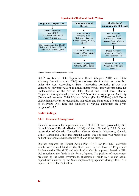



(Source: Directorate of Family Welfare, GoUP)

GoUP constituted State Supervisory Board (August 2004) and State Advisory Committee (July 2006) to discharge the functions as prescribed under the Act. Accordingly, State Appropriate Authority (SAA) was constituted (November 2007) as a multi-member body and was responsible for implementation of the Act at State, District and Tehsil level. District Magistrate was appointed (November 2007) as District Appropriate Authority (DAA) and Assistant Chief Medical Officer (Family Welfare) (ACMO) as district nodal officer for registration, inspection and monitoring of compliance of PC-PNDT Act. Role and functions of various authorities are given in *Appendix 3.1*.

## **Audit Findings**

#### **3.1.3 Financial Management**

Financial resources for implementation of PC-PNDT were provided by GoI through National Health Mission (NHM) and fee collected by DAA through registration of Genetic Counselling Centre, Genetic Laboratory, Genetic Clinic, Ultrasound Clinic and Imaging Centre. Fee collected was required to be kept in a separate bank account of DAAs at the districts.

Districts prepared the District Action Plan (DAP) for PC-PNDT activities which were consolidated at the State level in the form of Programme Implementation Plan (PIP) and submitted to GoI for approval. Based on PIP, GoI sanctioned the funds in the form of grants. The position of requirement projected by the State government, allocation of funds by GoI and actual expenditure incurred by the State implementing agencies during 2010-15 is depicted in the chart 3.3 below: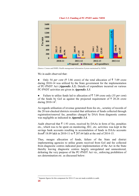



(Source: Census and HMIS: Health management Information System maintained by NHM)

We in audit observed that:

• Only 54 *per cent* ( $\overline{\xi}$  3.86 crore) of the total allocation of  $\overline{\xi}$  7.09 crore during 2010-14 was utilized by the State government for the implementation of PC-PNDT Act (*Appendix 3.2*). Details of expenditure incurred on various PC-PNDT activities are given in *Appendix 3.3*.

• Failure to utilize funds led to allocation of  $\bar{\tau}$  7.09 crore only (35 *per cent*) of the funds by GoI as against the projected requirement of  $\bar{\tau}$  20.26 crore during  $2010 - 14^3$ .

As regards utilisation of revenue generated from fee etc., scrutiny of records of the 20 test-checked districts revealed that utilization of funds collected through registration/renewal fee, penalties charged by DAA from diagnostic centres was negligible as indicated in *Appendix 3.4.*

Audit observed that  $\bar{\tau}$  1.93 crore, received by DAAs in form of fee, penalties etc., which was to be spent on monitoring, IEC, etc. activities was kept in the savings bank accounts resulting in accumulation of funds in DAAs accounts from $\bar{\tau}$  18.09 lakh in 2010-11 to  $\bar{\tau}$  207.64 lakh at the end of 2014-15.

Thus, meagre allocation of funds, failure of the State and district implementing agencies to utilise grants received from GoI and fee collected from diagnostic centres indicated poor implementation of the Act in the State thereby leaving diagnostic centres largely unregulated and unmonitored, defeating the very purpose of the PC-PNDT Act viz., enforcing prohibition of sex determination *etc.* as discussed below:

-

**<sup>14</sup>** <sup>3</sup> Separate figures for this component for 2014-15 was not made available to audit.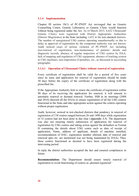## **3.1.4 Implementation**

Chapter III section 18(1) of PC-PNDT Act envisaged that no Genetic Counselling Centre, Genetic Laboratory or Genetic Clinic would function without being registered under the Act. As of March 2015, 4,622 Ultrasound/ Genetic Clinics were registered with District Appropriate Authorities (District Magistrates) in the State including 1,652 in the test-checked districts. The number of unregistered USG centres operating unauthorisedly or due to delay in approval of registration by the competent authority was not known. Audit noticed cases of serious violation of PC-PNDT Act including non-renewal of registration, non-maintenance of patients' details and diagnostic records, absence of regular inspection of USG centres by DAA, lack of mapping and regulation of USG equipment, absence of tracking system in USG machines, non-imposition of penalties, etc., as discussed in succeeding paragraphs:

## **3.1.4.1 Operation of Ultrasound Clinics without renewal of registration**

Every certificate of registration shall be valid for a period of five years since its issue and application for renewal of registration should be made 30 days before the expiry of the certificate of registration along with the prescribed fee.

If the Appropriate Authority fails to renew the certificate of registration within 90 days of its receiving the application for renewal, it will amount to automatic renewal or deemed renewal. Further, SSB in its meetings (2008 and 2014) directed all the DAAs to ensure registration of all the USG centres functional in the State and take appropriate action against the centres operating without proper registration.

Audit, however, noticed in test-checked districts that pendency in renewal of registration of 138 centres ranged between 26 and 1490 days while registration of 32 centres had not been done in due time (*Appendix 3.5*). The department was also not ensuring timely submission of application for renewal of registration by USG centres and taking action against the defaulters as Format H containing the details about USG centre such as date of receipt of application, Name, address of applicant, details of machine installed, recommendation of DAC, registration number allotted, date of renewal and renewed upto *etc.* are mentioned was not being maintained by DAAs. Thus, these centres functioned as deemed to have been registered during the intervening period.

In reply the district authorities accepted the fact and ensured compliances in future.

**Recommendation:** The Department should ensure timely renewal of registration to avoid functioning of centres as , deemed registered'.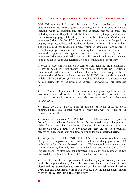## **3.1.4.2 Violation of provisions of PC-PNDT Act by Ultra-sound centres**

PC-PNDT Act and Rule made thereunder makes it mandatory for every genetic counselling centre, genetic laboratory, clinic, ultrasound clinic and imaging centre to maintain and preserve complete records of each case including details of the patient, details of doctor referring the pregnant women for ultrasonography, laboratory test results/pictures/plates/slides and recommendations. Further USG centres were to intimate any change in its employees, place, address and installed equipment to DAA within thirty days. The main aim of maintenance and preservation of these details and records is to facilitate proper inspection and monitoring by the authorities to ensure that pre-natal diagnostic investigation had been carried out only on the recommendation of a qualified doctor on valid grounds and was not intended to be used for irregular sex determination and termination of pregnancy.

In order to ascertain whether USG centres were adhering the provisions of PC-PNDT Act/ Rules, joint physical inspections (JPIs) of 100 USG centres in test-checked districts were conducted by audit teams along with the representative of DAAs and nodal officer PC-PNDT from the department in which 1,937 cases (Form  $\mathcal{F}$ ) were test checked. Violations and shortcomings noticed during JPI of the ultrasound centres (*Appendix 3.6*) are discussed below:

● 1,326 cases (68 *per cent*) did not have referral slips of registered medical practitioner attached to them while details of procedure conducted and the purpose of such procedure were also not mentioned in 1,110 cases (57 *per cent*)*.* 

● Basic details of patient, such as number of living children, phone number, address etc., to track records of pregnancy, were not filled in 961 cases (50 *per cent*).

According to section 29 of PC-PNDT Act, USG centres were to preserve Form F, referral slips of doctors, forms of consent and sonographic plates or slides for not less than two years. However, it was observed in all the test-checked USG centres (100 *per cent*) that they did not keep backups/ records of images taken during ultrasonography for the prescribed period.

● As per rule 13 of PC-PNDT Rules, USG centres were to intimate any change in its employees, place, address and installed equipment to DAA within thirty days. It was observed that two USG centres in Agra were having two machines against only one registered without any intimation to DAA. Further, change of staff was not intimated to DAA by one centre while two centres did not intimate shifting of USG machine to other place.

Two USG centres in Agra were not maintaining any records, registers *etc.* on this being pointed out by Audit, the management stated that the centre was closed and the registration was surrendered but this was neither confirmed by CMO nor any documentary proof was produced by the management though called for (May,2015) from the centre visited.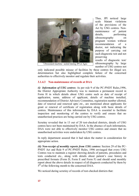

Thus, JPI noticed large scale blatant violations of the provisions of the Act by USG centres. Nonmaintenance of patient details, performing ultrasonography on pregnant women without recommendation of a doctor, not indicating the purpose of carrying out such diagnostic test and not preserving

results of diagnostic test/ ultrasonography by large number of USG centres not

only indicated possible misuse of facilities by these centres for illegal sex determination but also highlighted complete failure of the concerned authorities to effectively monitor and regulate their activities.

## **3.1.4.3 Non-maintenance of records at DAA**

*(i) Information of USG centres:* As per rule 9 of the PC-PNDT Rules,1996, the District Appropriate Authority was to maintain a permanent record in Form H in which details about USG centre such as date of receipt of application, name, address of applicant, details of machine installed, recommendation of District Advisory Committee, registration number allotted, date of renewal and renewed upto *etc.,* are mentioned about applicants for grant or renewal of certificate of registration along with basic details of centres. Maintenance of this information by DAA is essential to facilitate inspection and monitoring of the centres to verify and ensure that no unauthorised practices are being carried out by USG centres.

Scrutiny revealed that in 13 out of 20 test-checked districts, details of USG centres have not been maintained by DAA. In the absence of such information, DAA were not able to effectively monitor USG centres and ensure that no unauthorised activities were undertaken by USG centres.

In reply department assured that it had taken the matter in consideration for appropriate action.

*(ii) Non-receipt of monthly reports from USG centres:* Section 29 of the PC-PNDT Act and Rule 9 of PC-PNDT Rules, 1996 envisaged that every USG Centres was to maintain a register showing details of patients, procedures and tests conducted etc., along with details about patient"s case history in prescribed formats (Form D, Form E and Form F) and should send monthly report about the above details in respect of all diagnosis conducted by them by 5<sup>th</sup> of the following month to the concerned DAA.

We noticed during scrutiny of records of test-checked districts that: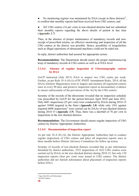• No monitoring register was maintained by DAA except in three districts<sup>4</sup>, to confirm that monthly reports had been received from USG centres; and

● 262 USG centres (16 *per cent*) in test-checked districts had not submitted their monthly reports regarding the above details of patient in due time (*Appendix 3.7*)

Thus, in the absence of proper maintenance of mandatory records and nonreceipt of prescribed returns, no effective monitoring and inspection of all the USG centres in the district was possible. Hence, possibility of irregularities such as illegal operations of ultrasound machines could not be ruled out.

In reply, district authorities had assured for appropriate action.

**Recommendation:** The Department should ensure the proper maintenance/up keep of mandatory records at USG centres as well as at DAA level.

## **3.1.4.4 Absence of regular inspection of Ultrasonography centres by DAA**

GoUP instructed (July 2013) DAA to inspect two USG centre per week. Further, as per Rule 18-A (8) (i) of PC-PNDT Amendment Rules, 2014, all the DAAs (District Magistrates) were to inspect and monitor all registered centres once in every 90 days and preserve inspection report as documentary evidence to ensure enforcement of the provisions of the Act by the USG centres.

Scrutiny of the records of the directorate revealed that no inspection schedule was prescribed by GoUP for the period between April 2010 and June 2013. Only 4681 inspections (25 *per cent*) were conducted by DAAs during 2014-15 against 18488 targeted in the State (*Appendix 3.8*) while only 1561 against required 6608 inspections<sup>5</sup> were carried out by DAAs of test-checked districts during 2014-15 (*Appendix 3.9*). Thus, there was a shortfall of 76 *per cent* in inspections in the test checked districts.

**Recommendation:** The Government should ensure regular inspection of USG centres by District Appropriate Authorities.

## **3.1.4.5 Documentation of inspection report**

As per rule 18-A (8) (ii), the District Appropriate Authorities had to conduct regular inspections of USG centres and place all inspection reports once in three months before District Advisory Committees for follow up action.

Scrutiny of records of test-checked districts revealed that as per information furnished by district authorities, 3532 inspections of 1652 USG centres were carried out by DAAs in the test-checked districts during 2010-15, but only 130 inspection reports (four *per cent*) were issued to USG centres. The district authorities did not furnish information about placement of inspection reports before DACs.

<sup>4</sup> Agra, Bareilly and Saharanpur.

 $54x1652$  centres.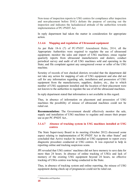Non-issue of inspection reports to USG centres for compliance after inspection and non-placement before DACs defeats the purpose of carrying out the inspection and indicates the lackadaisical attitude of the authorities towards implementation of PC-PNDT Act.

In reply department had taken the matter in consideration for appropriate action.

## **3.1.4.6 Mapping and regulation of Ultrasound equipment**

As per Rule 18-A (7) of PC-PNDT Amendment Rules, 2014, all the Appropriate Authorities were required to regulate the use of ultrasound equipment; monitor the sales and import of USG machines; ensue regular quarterly reports from ultrasound manufacturers and dealers; conduct periodical survey and audit of all USG machines sold and operating in the State; and file complaint against any unregistered owner or seller of the USG machine.

Scrutiny of records of test checked districts revealed that the department did not take any action for mapping of sale of USG equipment and also did not call for any information regarding sale, installation and possession of USG equipment from the manufacturers, suppliers, dealers, etc., due to which number of USG equipment installed and the location of their placement were not known to the authorities to regulate the use of all the ultrasound machines.

In reply department stated that information is not available in this regard.

Thus, in absence of information on placement and possession of USG machines the possibility of misuse of ultrasound machines could not be ruled out.

**Recommendation:** The Government should effectively monitor the sale, supply and installation of USG machines to regulate and ensure their proper use as per PC-PNDT Act*..*

## **3.1.4.7 Absence of tracking system in USG machines installed at USG centres**

The State Supervisory Board in its meeting (October 2012) discussed some aspect relating to implementation of PC-PNDT Act in the other States<sup>6</sup> and concluded that Active tracker be installed at USG equipment to report every diagnostic procedure conducted at USG centres. It was expected to help in reporting online and tracking suspicious scans.

JPI revealed that USG centres' machines did not have memory to save data for more than 24 hours. In absence of online tracking of USGs and lack of memory of the existing USG equipment beyond 24 hours, no effective tracking of USGs centres was being conducted in the State.

Thus, in absence of tracking system and online reporting, the misuse of USG equipment during check-up of pregnancies could not be ruled out.

-

<sup>6</sup> Maharashtra and Rajasthan.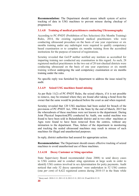**Recommendation:** The Department should ensure inbuilt system of active tracking of data in USG machines to prevent misuse during checkup of pregnancies.

## **3.1.4.8 Training of medical practitioners conducting Ultrasonography**

According to PC-PNDT (Prohibition of Sex Selection) (Six Months Training) Rules, 2014, the existing registered medical practitioners who were conducting ultrasound procedure on the basis of one year experience or six months training under any radiologist were required to qualify competency based examination or to complete six months training from the accredited institutions for the purpose of renewal of registrations.

Scrutiny revealed that GoUP neither notified any institute as accredited for imparting training nor conducted any examination in this regard. As such, 28 registered medical practitioners in the two out of 20 test-checked districts were conducting ultrasound on the basis of one year experience or six month training without undergoing the said competency examination or six months training under the rules.

No specific reply was furnished by department to address the issue raised by audit.

## **3.1.4.9 Seized USG machines found missing**

As per Rule 11(2) of PC-PNDT Rules, the seized objects, if it is not possible to remove, may be retained where they are found after taking a bond from the owner that the same would be produced before the court as and when required.

Scrutiny revealed that 120 USG machines had been sealed for breach of the provisions of PC-PNDT Act, 1994 in the State by the end of March, 2015 but the whereabouts of these machines were not known to the department. During Joint Physical Inspection(JPI) conducted by Audit, one sealed machine was found to have been sold in Bulandshahr district and in two other machines at Agra were found to have been removed from the centres, without any intimation to the department. Thus, failure of the department in monitoring and tracking the sealed ultrasound machines may result in misuse of such machines for illegal and unauthorised purposes.

In reply, district authorities had assured for appropriate action.

**Recommendation:** The Department should ensure effective tracking of seized machines to avoid unauthorised use of these machines.

## **3.1.4.10 Decoy Customer or Sting operation**

State Supervisory Board recommended (June 2008) to send decoy cases to USG centres and to conduct sting operations at large scale in order to identify USG centres involved in sex determination for petty payments. Audit noticed that only 52 decoy operations<sup>7</sup> were undertaken in 52 USG centres (one *per cent*) of 4,622 registered centres during 2010-15 in the State while

-

 $7$  Decoy used - 2010-11: 0; 2011-12: 0; 2012-13: 0; 2013-14: 29 and 2014-15: 23.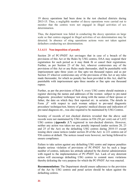19 decoy operations had been done in the test checked districts during 2013-15. Thus, a negligible number of decoy operations were carried out to monitor that the centres were not engaged in illegal activities of sex determination.

Thus, the department was failed in conducting the decoy operation on large scale so that centres engaged in illegal activities of sex determination may be detected. In absence of sting operations actions were not taken against defaulters conducting sex determination.

#### **3.1.4.11 Non-imposition of penalty**

Section 20 of PC-PNDT Act envisages that in case of a breach of the provisions of this Act or the Rules by USG centres, DAA may suspend their registration for such period as it may think fit or cancel their registration. Further, as per Section 23 of the Act, whoever contravenes any of the provisions of this Act or any Rules made thereunder, shall be punishable with imprisonment upto three years or fine upto ten thousand rupees and as per Section 25 whoever contravenes any of the provisions of this Act or any rules made thereunder, for which no penalty has been provided in this Act, shall be punishable with imprisonment upto three months or fine upto one thousand rupees.

Further, as per the provisions of Rule 9, every USG centre should maintain a register showing the names and addresses of the women subject to pre-natal diagnostic procedure/ technique/ test along with the names of their spouse or father, the date on which they first reported *etc.* in seriatim. The details in Form  $\mathbb{F}^n$  with respect to each woman subject to pre-natal diagnostic procedure/ technique/test, history of genetic/ medical disease and indication of pre-natal diagnosis *etc.,* was also required to be maintained by USG Centres.

Scrutiny of records of test checked districts revealed that the above said records were not maintained by USG centres in 936 (58 *per cent*) out of 1,652 USG centres (*Appendix 3.7*) registered in test-checked districts. However, neither any action was taken nor any penalty imposed (under sections 20, 23 and 25 of the Act) on the defaulting USG centres during 2010-15 except issuing show cause notices (under section 20 of the Act) to 221 centres out of 936 centres at default. The notices issued were however, not being followed to ensure compliance.

Failure to take action against any defaulting USG centre and impose penalties despite serious violation of provisions of PC-PNDT Act by such a large number of centres, indicates lax attitude adopted by the district administration with regard to the implementation of PC-PNDT Act. Lack of any deterrent action will encourage defaulting USG centres to commit more violations thereby defeating the very purpose for which the PC-PNDT Act was enacted.

**Recommendation:** The Department should ensure adherence to the provision of the Act by USG centres and penal action should be taken against the defaulting centres.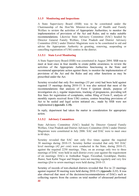## **3.1.5 Monitoring and Inspections**

A State Supervisory Board (SSB) was to be constituted under the Chairmanship of the Hon"ble Minister-in-charge of Health and Family Welfare to review the activities of Appropriate Authorities; to monitor the implementation of provisions of the Act and Rules; and to make suitable recommendations. Likewise State Advisory Committee (SAC) headed by Director General Family Welfare, Uttar Pradesh and District Advisory Committee (DAC) under District Magistrate were to be constituted to aid and advise the Appropriate Authority in granting, renewing, suspending or cancelling registration of USG centres in the district.

## **3.1.5.1 State Level Monitoring**

A State Supervisory Board (SSB) was constituted in August 2004. SSB was to meet at least once in four months to create public awareness; to review the activities of the Appropriate Authorities functioning in the State and recommend appropriate action against them; to monitor the implementation of provisions of the Act and the Rules and any other functions as may be prescribed under the Act.

Scrutiny revealed that only five meetings (33 *per cent)* had been held against required 15 meetings during 2010-15. It was also noticed that most of the recommendations that analysis of Form F (patient details, purpose of investigation etc.), regular inspections, tracking of pregnancies, providing toll free lines for registration of complaints, online filing of Form F, analysis of monthly reports received from USG centres, centres breaching provisions of Act to be sealed and legal action initiated etc., made by SSB were not implemented **(***Appendix 3.10).* 

In reply, department had taken the matter in consideration for appropriate action.

## **3.1.5.2 Advisory Committees**

State Advisory Committee (SAC) headed by Director General Family Welfare, Uttar Pradesh and District Advisory Committee (DAC) under District Magistrate were constituted in July 2006. SAC and DAC were to meet once in 60 days.

Scrutiny revealed that SAC met only five times against the required 30 meetings during 2010-15. Scrutiny further revealed that only 943 DAC level meetings (42 *per cent*) were conducted in the State, during 2010-15, against the required 2250 meetings. Thus, on an average only two to three meetings of DAC were held in each district every year against the requirement of *six* meetings. DACs in Ambedkar Nagar, Firozabad, Gorakhpur, Hardoi, Jhansi, Sant Kabir Nagar and Sitapur were not meeting regularly and very few meetings (*five* to *seven* meetings) were held during 2010-15.

**22** Scrutiny of records of test-checked districts revealed that five to 23 meetings against required 30 meeting were held during 2010-15 (*Appendix 3.11*). It was also observed that most of the decisions/recommendations of DACs such as collecting reports from the centres on total number of ultrasound performed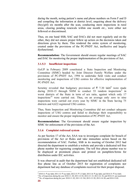during the month, noting patient's name and phone numbers on Form F and D and compiling the information at district level, enquiring about the delivery (boy/girl) six months after the scan, conducting more inspections in rural areas, clearing pending renewals within one month *etc*., were either not followed or discontinued.

Thus, on one hand SSB, SAC and DACs did not meet regularly and on the other, they did not ensure proper follow up action on the decisions taken and directions given by them. This rendered the entire system of monitoring, created under the provisions of the PC-PNDT Act, ineffective and largely dysfunctional.

**Recommendation:** The Government should ensure regular meetings of SAC and DAC for monitoring the proper implementation of the provisions of Act.

#### **3.1.5.3 Insufficient inspections**

GoUP in February 2009 constituted a State Inspection and Monitoring Committee (SIMC) headed by Joint Director Family Welfare under the provisions of PC-PNDT Act, 1994 to undertake field visits and conduct monitoring and inspections of USG centres for effective implementation of PC-PNDT Act.

Scrutiny revealed that budgetary provisions of  $\bar{\tau}$  7.30 lakh<sup>8</sup> were made during 2010-15 through NHM to conduct 53 random inspections<sup>9</sup> in worst districts of the State in term of sex ratio, against which only 17 inspections<sup>10</sup> were carried out. Thus, on an average only zero to nine inspections were carried out every year by SIMC in the State having 75 districts and 4,622 registered USG centres.

Thus, State Inspection and Monitoring Committee did not conduct adequate inspections of USG centres and failed to discharge their responsibility to monitor and ensure the proper implementation of PC-PNDT Act.

**Recommendation:** The Government should ensure regular inspection by SIMC for enforcement of the provisions of the Act.

#### **3.1.6 Complaint redressal system**

As per Section 17 of the Act, SAA was to investigate complaint for breach of provisions of the Act or Rules and take immediate action based on the recommendation of SAC. Further, SSB in its meeting of October 2012 had directed the department to establish a website and provide a dedicated toll free phone number for registering complaints. The toll free phone number was to be displayed at prominent places and printed on pamphlets/forms for distribution under IEC activities.

It was observed in audit that the department had not established dedicated toll free phone line as of October 2015 for registration of complaints nor department had any database of complaints received for their proper disposal.

 8 2010-11: ` one lakh; 2011-12: ` two lakh; 2012-13: ` 1.3 lakh; 2013-14: ` one lakh; and 2014-15: ` two lakh.

<sup>9</sup> No. of inspections during the year 2010-11: 20; 2011-12:10; 2012-13: 13; 2013-14: 10; and 2014-15: not mentioned. <sup>10</sup> No. of inspections during the year: 2010-11: 02; 2011-12: Nil; 2012-13: 02; 2013-14: 09; and 2014-15:02.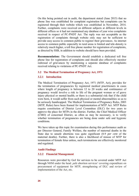On this being pointed out in audit, the department stated (June 2015) that no phone line was established for complaint registration but complaints can be registered through their website which was established in November, 2014. Further, complaints were received on different subjects at different levels in different offices so it had not maintained any database of year wise complaints received in respect of PC-PNDT Act. The reply was not acceptable as the registration of complaints through website only may not be sufficient to provide easy access to common public to register their grievances. As internet access to common public especially in rural areas is limited and tele-density is relatively much higher, a toll free phone number for registration of complaints, as directed by SSB, in addition to website should have been provided.

**Recommendation:** The Government should establish a dedicated toll free phone line for registration of complaints and should also effectively monitor redressal of grievances by maintaining a separate database of complaints received relating to violations of PC-PNDT Act.

#### **3.2 The Medical Termination of Pregnancy Act, 1971**

## **3.2.1 Introduction**

The Medical Termination of Pregnancy Act, 1971 (MTP, Act), provides for the termination of pregnancies by registered medical practitioners in cases where length of pregnancy is between 12 to 20 weeks and continuance of pregnancy would involve a risk to life of the pregnant woman or of grave injury physical or mental health; or there is a substantial risk that if the child were born, it would suffer from such physical or mental abnormalities so as to be seriously handicapped. The Medical Termination of Pregnancy Rules, 2003 (MTP, Rules) have been framed for implementation of MTP Act. MTP Rules require constitution of District Level Committee (DLC) for two years to approve the place for MTPs in the district. Further, the Chief Medical Officer (CMO) of concerned District, as often as may be necessary, is to verify whether termination of pregnancies are being done under safe and hygienic conditions.

We have taken up this topic for examination during this performance audit as per Director General, Family Welfare, the number of maternal deaths in the State due to unsafe abortions was quite significant (8.9 *per cent* of the maternal deaths). Further, there is also a likelihood of misuse of MTP for termination of female fetus unless, such terminations are effectively monitored and regulated.

## **Audit Findings**

#### **3.2.2 Financial Management**

Resources were provided by GoI for services to be covered under MTP Act through NHM under the head ,safe abortion services' covering expenditure on procurement of equipment for MTP, strengthening of DLC and review of implementation of the Act, etc.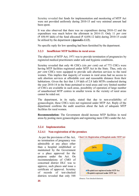Scrutiny revealed that funds for implementation and monitoring of MTP Act were not provided uniformly during 2010-15 and very minimal amount had been spent.

It was also observed that there was no expenditure during 2010-12 and the expenditure was much below the allotment in 2014-15. Only 11 *per cent*  $({}^{2}$  450.95 lakh) of the fund allocated ( ${}^{2}$  4,058.12 lakh) during 2010-15 could be utilised by the department (*Appendix-3.12*).

No specific reply for low spending had been furnished by the department.

## **3.2.3 Insufficient MTP facilities in rural areas**

The objective of MTP Act, 1971 was to provide termination of pregnancies by registered medical practitioners under safe and hygienic conditions.

Scrutiny revealed that only 46 CHCs (six *per cent*) out of 773 CHCs were having MTP facilities registered under MTP Act in the State. Thus, only six *per cent* CHCs were equipped to provide safe abortion services to the rural women. This implies that majority of women in rural areas had no access to safe abortion services at affordable cost and reasonable distance from their habitations. Given the fact that 1.19 lakh of 2.8 lakh MTPs conducted during the year 2010-14 in the State pertained to rural areas and very limited number of CHCs are available in such areas, possibility of operation of large number of unauthorised MTP centres in smaller towns in the vicinity of rural areas cannot be ruled out.

The department, in its reply, stated that due to non-availability of gynaecologist, these CHCs were not registered under MTP Act. Reply of the department confirms the audit assertion about the lack of adequate MTP facilities for rural women.

**Recommendation:** The Government should increase MTP facilities in rural areas by posting more gynaecologists and registering more CHCs under the Act.

## **3.2.4 Implementation**

#### **3.2.4.1 Non-registration of the premises**

 As per the provisions of the Act, no termination of pregnancy was admissible at any place other than a hospital established or maintained by the Government or a place approved for the purpose under the Act. On recommendations of CMO of concerned district DLC was to approve, such places and issue a certificate of approval. Scrutiny of records of test-checked districts revealed that only 548



(Source: Test checked districts)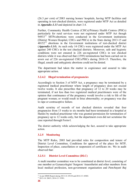(26.3 *per cent*) of 2083 nursing homes/ hospitals, having MTP facilities and operating in test-checked districts, were registered under MTP Act as detailed in *Appendix-3.13* and depicted in chart 3.4.

Further, Community Health Centres (CHCs)/Primary Health Centres (PHCs) particularly for rural services were not registered under MTP Act though  $94933<sup>11</sup>$  MTPs/abortions were conducted in the Government institutions (District Women Hospital, CHCs and PHCs) in the State during 2013-15 and  $40152^{12}$  abortions in the Government institutions of test-checked district (*Appendix-3.14*). As such only 14 CHCs were registered under the MTP Act against 240 CHCs in the test checked districts. Moreover, safe and hygienic conditions were not ensured in 226 un-registered CHCs in test checked districts while it was observed that (1595) terminations had been carried out in *seven* out of 226 un-registered CHCs/PHCs during 2010-15. Therefore, the illegal, unsafe and unhygienic abortions could not be denied.

The department had taken the matter in cognizance and assured to take appropriate action.

## **3.2.4.2 Illegal termination of pregnancies**

Accordingly to Section 3 of MTP Act, a pregnancy may be terminated by a registered medical practitioner where length of pregnancy does not exceed twelve weeks. It also prescribes that pregnancy of 12 to 20 weeks may be terminated, if not less than two registered medical practitioners were of the opinion that continuance of the pregnancy would involve a risk to life of the pregnant woman; or would result in fetus abnormality; or pregnancy was due to rape or contraceptive failure.

Audit scrutiny of records of test checked districts revealed that four pregnancies from 13 weeks to six months had been terminated in a hospital at Hardoi by medical practitioner who was granted permission for termination of pregnancy up to 12 weeks only, but the department even did not scrutinise the case reported through Form-I.

The district authority while acknowledging the fact, assured to take appropriate action.

## **3.2.5 Monitoring**

The MTP Rules, 2003 had provided rules for composition and tenure of District Level Committee, Conditions for approval of the place for MTP, Inspection of place, cancellation or suspension of certificate *etc.* We in audit observed that:

## **3.2.5.1 District Level Committee (DLC)**

A multi member committee was to be constituted at district level, consisting of one member as Gynaecologist/ Surgeon/ Anaesthetist and other members from local medical profession, non-government organisation and *Panchayati Raj*

<sup>&</sup>lt;sup>11</sup> As per HIMS Report during 2013-14: 49130 and 2014-15: 45803.

<sup>12</sup> 2013-14: 20651; 2014-15: 19501.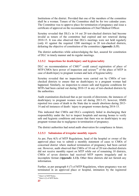Institutions of the district. Provided that one of the members of the committee shall be a woman. Tenure of the Committee shall be for two calendar years. The Committee was to approve place for termination of pregnancy and issue a certificate of approval on the recommendations of Chief Medical Officer.

Scrutiny revealed that DLCs in 14 out 20 test-checked districts had become invalid as tenure of the committee had expired and not renewed during 2010-15. It was also observed that DLCs meetings were not held regularly (only 41 against the required 1200 meetings) in 20 test-checked districts, defeating the objective of constitution of the committee (*Appendix 3.15*).

The district authorities while acknowledging the fact, assured for constitution of DLC in timely manner and its regular meetings.

## **3.2.5.2 Inspections for death/injury and hygiene/safety**

DLC on recommendation of  $CMO<sup>13</sup>$  could cancel registration of place of MTP.CMOs have power of inspection and seizure<sup>14</sup> of the place of MTP in case of death/injury to pregnant women and lack of hygiene/safety.

Scrutiny revealed that no inspections were carried out by CMOs of testchecked districts to ensure that no death/injury to a pregnant woman had happened. Similarly, no inspection to ensure safe and hygienic conditions for MTPs had been carried out during 2010-15 in any of test-checked districts by the authorities.

Audit examination disclosed that as per records of directorate, the instances of death/injury to pregnant women were nil during 2013-15, however, HMIS reported two cases of death in the State due to unsafe abortions during 2013- 14 and nil instances of death / injury to pregnant women during 2014-15.

This indicated that CMOs and DLCs completely failed in discharging their responsibility under the Act to inspect hospitals and nursing homes to verify safe and hygienic conditions and ensure that there was no death/injury to any pregnant woman due to negligence in termination of pregnancy.

The district authorities had noted audit observation for compliance in future.

#### **3.2.5.3 Submission of irregular monthly reports**

As per, Para 4(5) of MTP Regulations, head of the hospital or owner of the approved place was to submit a monthly statement of cases to CMOs of concerned district where medical termination of pregnancy had been carried out. However, audit observed that CMOs of 10 out of 20 test-checked districts did not receive monthly report on MTP while out of remaining 10 districts, CMOs of seven districts had received MTP reports irregularly and in incomplete format *(Appendix 3.13)***.** Other three districts did not furnish any information.

Further, as per paragraph 4 (7) of MTP Regulations, where pregnancy was not terminated in an approved place or hospital, intimation by the registered

<sup>&</sup>lt;sup>13</sup> Rule 6 of MTP Rules.

<sup>&</sup>lt;sup>14</sup> Rule 6 (2) of MTP Rules.